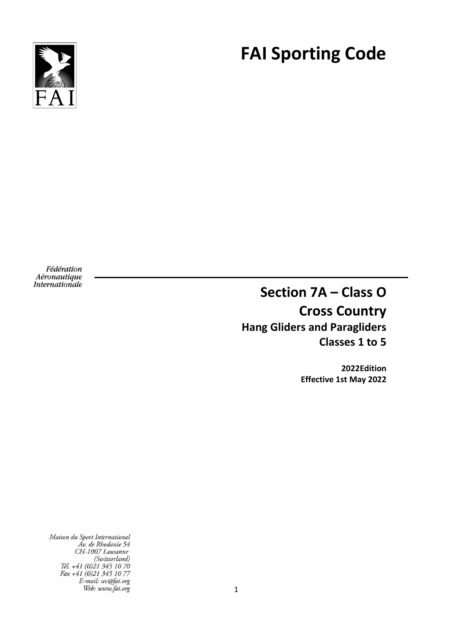

# **FAI Sporting Code**

Fédération Aéronautique **Internationale** 

**Section 7A – Class O Cross Country Hang Gliders and Paragliders Classes 1 to 5**

> **2022Edition Effective 1st May 2022**

Maison du Sport International Av. de Rhodanie 54<br>CH-1007 Lausanne (Switzerland) (Suntzerland)<br>Tél. +41 (0)21 345 10 70<br>Fax +41 (0)21 345 10 77<br>E-mail: sec@fai.org Web: www.fai.org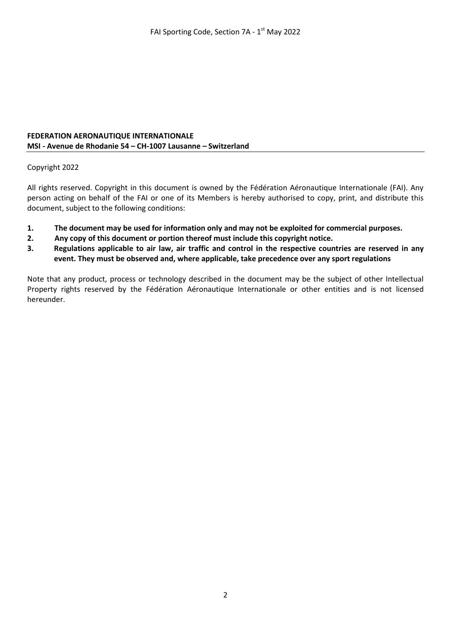#### **FEDERATION AERONAUTIQUE INTERNATIONALE MSI - Avenue de Rhodanie 54 – CH-1007 Lausanne – Switzerland**

#### Copyright 2022

All rights reserved. Copyright in this document is owned by the Fédération Aéronautique Internationale (FAI). Any person acting on behalf of the FAI or one of its Members is hereby authorised to copy, print, and distribute this document, subject to the following conditions:

- **1. The document may be used for information only and may not be exploited for commercial purposes.**
- **2. Any copy of this document or portion thereof must include this copyright notice.**
- **3. Regulations applicable to air law, air traffic and control in the respective countries are reserved in any event. They must be observed and, where applicable, take precedence over any sport regulations**

Note that any product, process or technology described in the document may be the subject of other Intellectual Property rights reserved by the Fédération Aéronautique Internationale or other entities and is not licensed hereunder.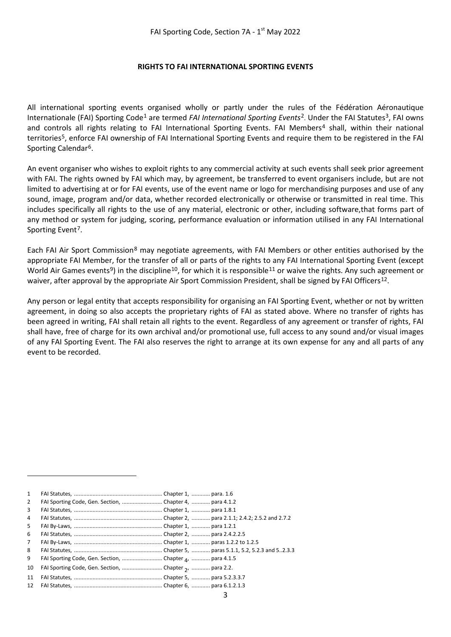#### **RIGHTS TO FAI INTERNATIONAL SPORTING EVENTS**

All international sporting events organised wholly or partly under the rules of the Fédération Aéronautique Internationale (FAI) Sporting Code<sup>[1](#page-2-0)</sup> are termed *FAI International Sporting Events*<sup>2</sup>. Under the FAI Statutes<sup>[3](#page-2-2)</sup>, FAI owns and controls all rights relating to FAI International Sporting Events. FAI Members<sup>[4](#page-2-3)</sup> shall, within their national territorie[s5,](#page-2-4) enforce FAI ownership of FAI International Sporting Events and require them to be registered in the FAI Sporting Calendar<sup>6</sup>.

An event organiser who wishes to exploit rights to any commercial activity at such events shall seek prior agreement with FAI. The rights owned by FAI which may, by agreement, be transferred to event organisers include, but are not limited to advertising at or for FAI events, use of the event name or logo for merchandising purposes and use of any sound, image, program and/or data, whether recorded electronically or otherwise or transmitted in real time. This includes specifically all rights to the use of any material, electronic or other, including software,that forms part of any method or system for judging, scoring, performance evaluation or information utilised in any FAI International Sporting Event<sup>7</sup>.

Each FAI Air Sport Commission[8](#page-2-7) may negotiate agreements, with FAI Members or other entities authorised by the appropriate FAI Member, for the transfer of all or parts of the rights to any FAI International Sporting Event (except World Air Games events<sup>[9](#page-2-8)</sup>) in the discipline<sup>[10](#page-2-9)</sup>, for which it is responsible<sup>[11](#page-2-10)</sup> or waive the rights. Any such agreement or waiver, after approval by the appropriate Air Sport Commission President, shall be signed by FAI Officers<sup>[12](#page-2-11)</sup>.

Any person or legal entity that accepts responsibility for organising an FAI Sporting Event, whether or not by written agreement, in doing so also accepts the proprietary rights of FAI as stated above. Where no transfer of rights has been agreed in writing, FAI shall retain all rights to the event. Regardless of any agreement or transfer of rights, FAI shall have, free of charge for its own archival and/or promotional use, full access to any sound and/or visual images of any FAI Sporting Event. The FAI also reserves the right to arrange at its own expense for any and all parts of any event to be recorded.

<span id="page-2-11"></span><span id="page-2-10"></span><span id="page-2-9"></span><span id="page-2-8"></span><span id="page-2-7"></span><span id="page-2-6"></span><span id="page-2-5"></span><span id="page-2-4"></span><span id="page-2-3"></span><span id="page-2-2"></span><span id="page-2-1"></span><span id="page-2-0"></span>

| 1              |                                                         |  |
|----------------|---------------------------------------------------------|--|
| 2              | FAI Sporting Code, Gen. Section, Chapter 4,  para 4.1.2 |  |
| 3              |                                                         |  |
| $\overline{4}$ |                                                         |  |
| 5              |                                                         |  |
| 6              |                                                         |  |
| 7              |                                                         |  |
| 8              |                                                         |  |
| 9              |                                                         |  |
| 10             | FAI Sporting Code, Gen. Section,  Chapter 2,  para 2.2. |  |
| 11             |                                                         |  |
| 12             |                                                         |  |
|                |                                                         |  |

**.**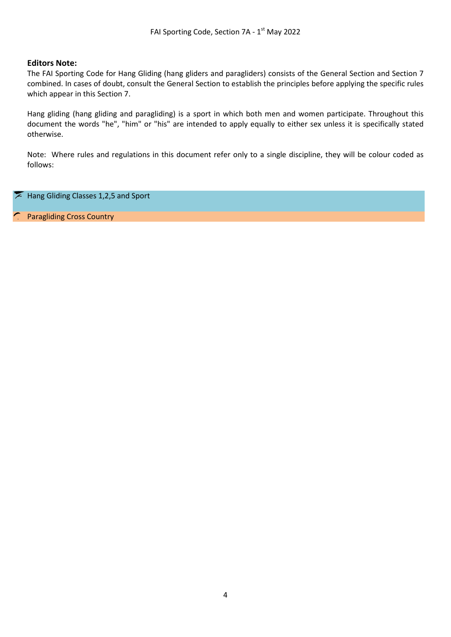#### **Editors Note:**

The FAI Sporting Code for Hang Gliding (hang gliders and paragliders) consists of the General Section and Section 7 combined. In cases of doubt, consult the General Section to establish the principles before applying the specific rules which appear in this Section 7.

Hang gliding (hang gliding and paragliding) is a sport in which both men and women participate. Throughout this document the words "he", "him" or "his" are intended to apply equally to either sex unless it is specifically stated otherwise.

Note: Where rules and regulations in this document refer only to a single discipline, they will be colour coded as follows:

Hang Gliding Classes 1,2,5 and Sport  $\sqrt{2}$ 

Paragliding Cross Country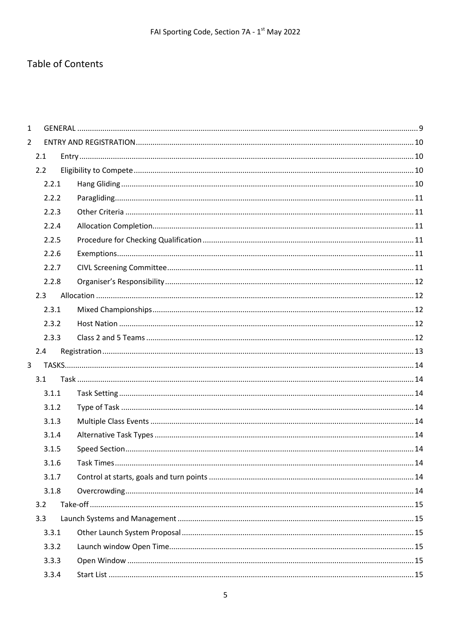## Table of Contents

| $\mathbf{1}$   |       |            |     |  |  |
|----------------|-------|------------|-----|--|--|
| $\overline{2}$ |       |            |     |  |  |
|                | 2.1   |            |     |  |  |
|                | 2.2   |            |     |  |  |
|                | 2.2.1 |            |     |  |  |
|                | 2.2.2 |            |     |  |  |
|                | 2.2.3 |            |     |  |  |
|                | 2.2.4 |            |     |  |  |
|                | 2.2.5 |            |     |  |  |
|                | 2.2.6 |            |     |  |  |
|                | 2.2.7 |            |     |  |  |
|                | 2.2.8 |            |     |  |  |
|                | 2.3   |            |     |  |  |
|                | 2.3.1 |            |     |  |  |
|                | 2.3.2 |            |     |  |  |
|                | 2.3.3 |            |     |  |  |
|                | 2.4   |            |     |  |  |
| 3 <sup>1</sup> |       |            |     |  |  |
|                | 3.1   |            |     |  |  |
|                | 3.1.1 |            |     |  |  |
|                | 3.1.2 |            |     |  |  |
|                | 3.1.3 |            |     |  |  |
|                | 3.1.4 |            |     |  |  |
|                | 3.1.5 |            |     |  |  |
|                | 3.1.6 | Task Times | .14 |  |  |
|                | 3.1.7 |            |     |  |  |
|                | 3.1.8 |            |     |  |  |
|                | 3.2   |            |     |  |  |
|                | 3.3   |            |     |  |  |
|                | 3.3.1 |            |     |  |  |
|                | 3.3.2 |            |     |  |  |
|                | 3.3.3 |            |     |  |  |
|                | 3.3.4 |            |     |  |  |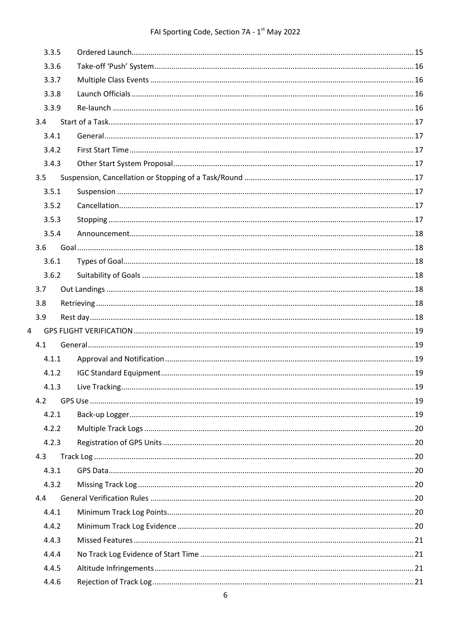## FAI Sporting Code, Section 7A - 1<sup>st</sup> May 2022

|                | 3.3.5 |  |  |
|----------------|-------|--|--|
|                | 3.3.6 |  |  |
|                | 3.3.7 |  |  |
|                | 3.3.8 |  |  |
|                | 3.3.9 |  |  |
|                | 3.4   |  |  |
|                | 3.4.1 |  |  |
|                | 3.4.2 |  |  |
|                | 3.4.3 |  |  |
|                | 3.5   |  |  |
|                | 3.5.1 |  |  |
|                | 3.5.2 |  |  |
|                | 3.5.3 |  |  |
|                | 3.5.4 |  |  |
|                | 3.6   |  |  |
|                | 3.6.1 |  |  |
|                | 3.6.2 |  |  |
|                | 3.7   |  |  |
|                | 3.8   |  |  |
|                | 3.9   |  |  |
| $\overline{4}$ |       |  |  |
|                | 4.1   |  |  |
|                | 4.1.1 |  |  |
|                | 4.1.2 |  |  |
|                | 4.1.3 |  |  |
|                | 4.2   |  |  |
|                | 4.2.1 |  |  |
|                | 4.2.2 |  |  |
|                | 4.2.3 |  |  |
|                | 4.3   |  |  |
|                | 4.3.1 |  |  |
|                | 4.3.2 |  |  |
|                | 4.4   |  |  |
|                | 4.4.1 |  |  |
|                | 4.4.2 |  |  |
|                | 4.4.3 |  |  |
|                | 4.4.4 |  |  |
|                | 4.4.5 |  |  |
|                | 4.4.6 |  |  |
|                |       |  |  |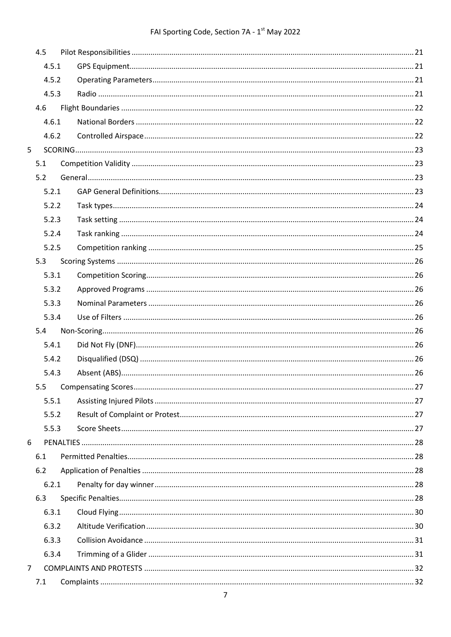## FAI Sporting Code, Section 7A - 1<sup>st</sup> May 2022

| 4.5            |  |
|----------------|--|
| 4.5.1          |  |
| 4.5.2          |  |
| 4.5.3          |  |
| 4.6            |  |
| 4.6.1          |  |
| 4.6.2          |  |
| 5              |  |
| 5.1            |  |
| 5.2            |  |
| 5.2.1          |  |
| 5.2.2          |  |
| 5.2.3          |  |
| 5.2.4          |  |
| 5.2.5          |  |
| 5.3            |  |
| 5.3.1          |  |
| 5.3.2          |  |
| 5.3.3          |  |
| 5.3.4          |  |
| 5.4            |  |
| 5.4.1          |  |
| 5.4.2          |  |
| 5.4.3          |  |
|                |  |
| 5.5.1          |  |
| 5.5.2          |  |
| 5.5.3          |  |
| 6              |  |
| 6.1            |  |
| 6.2            |  |
| 6.2.1          |  |
| 6.3            |  |
| 6.3.1          |  |
| 6.3.2          |  |
| 6.3.3          |  |
| 6.3.4          |  |
| $\overline{7}$ |  |
| 7.1            |  |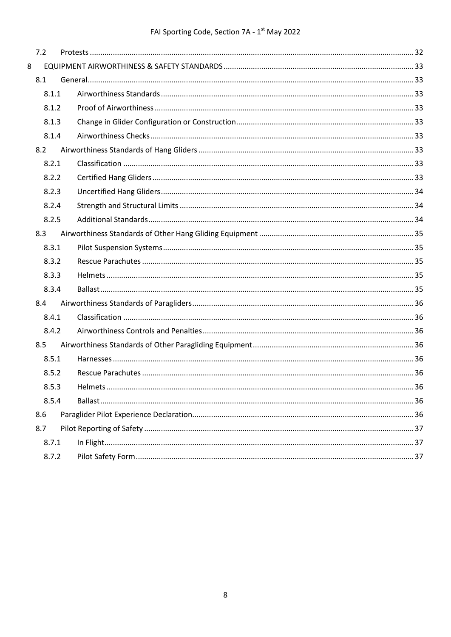|   | 7.2   |  |  |
|---|-------|--|--|
| 8 |       |  |  |
|   | 8.1   |  |  |
|   | 8.1.1 |  |  |
|   | 8.1.2 |  |  |
|   | 8.1.3 |  |  |
|   | 8.1.4 |  |  |
|   | 8.2   |  |  |
|   | 8.2.1 |  |  |
|   | 8.2.2 |  |  |
|   | 8.2.3 |  |  |
|   | 8.2.4 |  |  |
|   | 8.2.5 |  |  |
|   | 8.3   |  |  |
|   | 8.3.1 |  |  |
|   | 8.3.2 |  |  |
|   | 8.3.3 |  |  |
|   | 8.3.4 |  |  |
|   | 8.4   |  |  |
|   | 8.4.1 |  |  |
|   | 8.4.2 |  |  |
|   | 8.5   |  |  |
|   | 8.5.1 |  |  |
|   | 8.5.2 |  |  |
|   | 8.5.3 |  |  |
|   | 8.5.4 |  |  |
|   | 8.6   |  |  |
|   | 8.7   |  |  |
|   | 8.7.1 |  |  |
|   | 8.7.2 |  |  |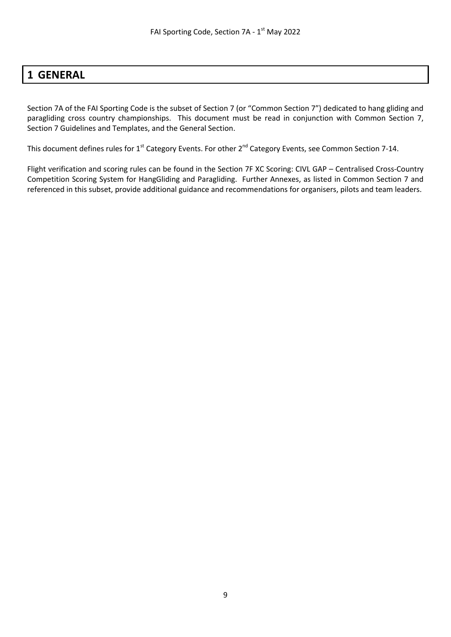## <span id="page-8-0"></span>**1 GENERAL**

Section 7A of the FAI Sporting Code is the subset of Section 7 (or "Common Section 7") dedicated to hang gliding and paragliding cross country championships. This document must be read in conjunction with Common Section 7, Section 7 Guidelines and Templates, and the General Section.

This document defines rules for 1<sup>st</sup> Category Events. For other 2<sup>nd</sup> Category Events, see Common Section 7-14.

Flight verification and scoring rules can be found in the Section 7F XC Scoring: CIVL GAP – Centralised Cross-Country Competition Scoring System for HangGliding and Paragliding. Further Annexes, as listed in Common Section 7 and referenced in this subset, provide additional guidance and recommendations for organisers, pilots and team leaders.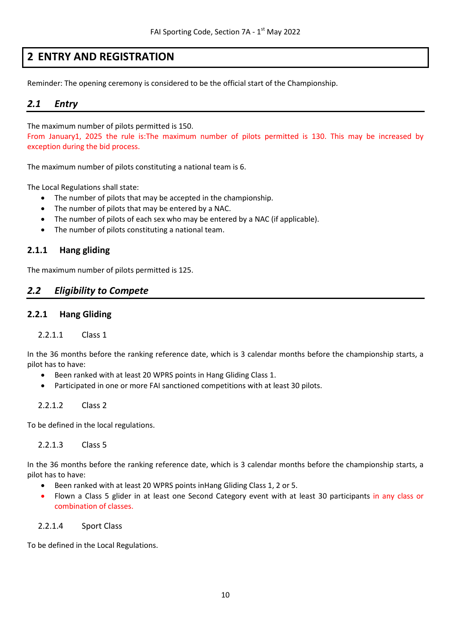## **2 ENTRY AND REGISTRATION**

<span id="page-9-1"></span><span id="page-9-0"></span>Reminder: The opening ceremony is considered to be the official start of the Championship.

## *2.1 Entry*

The maximum number of pilots permitted is 150.

From January1, 2025 the rule is:The maximum number of pilots permitted is 130. This may be increased by exception during the bid process.

The maximum number of pilots constituting a national team is 6.

The Local Regulations shall state:

- The number of pilots that may be accepted in the championship.
- The number of pilots that may be entered by a NAC.
- The number of pilots of each sex who may be entered by a NAC (if applicable).
- The number of pilots constituting a national team.

#### **2.1.1 Hang gliding**

<span id="page-9-2"></span>The maximum number of pilots permitted is 125.

#### *2.2 Eligibility to Compete*

#### <span id="page-9-3"></span>**2.2.1 Hang Gliding**

#### 2.2.1.1 Class 1

In the 36 months before the ranking reference date, which is 3 calendar months before the championship starts, a pilot has to have:

- Been ranked with at least 20 WPRS points in Hang Gliding Class 1.
- Participated in one or more FAI sanctioned competitions with at least 30 pilots.

#### 2.2.1.2 Class 2

To be defined in the local regulations.

2.2.1.3 Class 5

In the 36 months before the ranking reference date, which is 3 calendar months before the championship starts, a pilot has to have:

- Been ranked with at least 20 WPRS points inHang Gliding Class 1, 2 or 5.
- Flown a Class 5 glider in at least one Second Category event with at least 30 participants in any class or combination of classes.

#### 2.2.1.4 Sport Class

To be defined in the Local Regulations.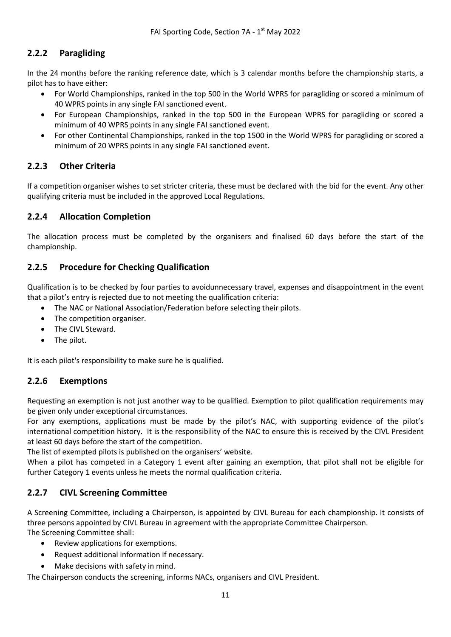## <span id="page-10-0"></span>**2.2.2 Paragliding**

In the 24 months before the ranking reference date, which is 3 calendar months before the championship starts, a pilot has to have either:

- For World Championships, ranked in the top 500 in the World WPRS for paragliding or scored a minimum of 40 WPRS points in any single FAI sanctioned event.
- For European Championships, ranked in the top 500 in the European WPRS for paragliding or scored a minimum of 40 WPRS points in any single FAI sanctioned event.
- For other Continental Championships, ranked in the top 1500 in the World WPRS for paragliding or scored a minimum of 20 WPRS points in any single FAI sanctioned event.

## <span id="page-10-1"></span>**2.2.3 Other Criteria**

If a competition organiser wishes to set stricter criteria, these must be declared with the bid for the event. Any other qualifying criteria must be included in the approved Local Regulations.

#### <span id="page-10-2"></span>**2.2.4 Allocation Completion**

The allocation process must be completed by the organisers and finalised 60 days before the start of the championship.

#### <span id="page-10-3"></span>**2.2.5 Procedure for Checking Qualification**

Qualification is to be checked by four parties to avoidunnecessary travel, expenses and disappointment in the event that a pilot's entry is rejected due to not meeting the qualification criteria:

- The NAC or National Association/Federation before selecting their pilots.
- The competition organiser.
- The CIVL Steward.
- The pilot.

<span id="page-10-4"></span>It is each pilot's responsibility to make sure he is qualified.

#### **2.2.6 Exemptions**

Requesting an exemption is not just another way to be qualified. Exemption to pilot qualification requirements may be given only under exceptional circumstances.

For any exemptions, applications must be made by the pilot's NAC, with supporting evidence of the pilot's international competition history. It is the responsibility of the NAC to ensure this is received by the CIVL President at least 60 days before the start of the competition.

The list of exempted pilots is published on the organisers' website.

When a pilot has competed in a Category 1 event after gaining an exemption, that pilot shall not be eligible for further Category 1 events unless he meets the normal qualification criteria.

#### <span id="page-10-5"></span>**2.2.7 CIVL Screening Committee**

A Screening Committee, including a Chairperson, is appointed by CIVL Bureau for each championship. It consists of three persons appointed by CIVL Bureau in agreement with the appropriate Committee Chairperson. The Screening Committee shall:

- Review applications for exemptions.
- Request additional information if necessary.
- Make decisions with safety in mind.

The Chairperson conducts the screening, informs NACs, organisers and CIVL President.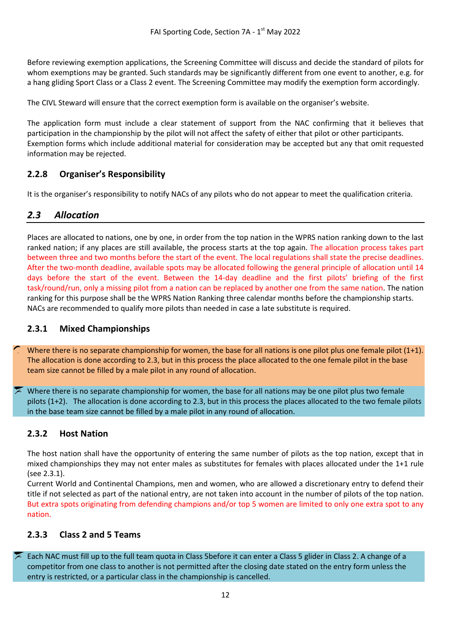Before reviewing exemption applications, the Screening Committee will discuss and decide the standard of pilots for whom exemptions may be granted. Such standards may be significantly different from one event to another, e.g. for a hang gliding Sport Class or a Class 2 event. The Screening Committee may modify the exemption form accordingly.

The CIVL Steward will ensure that the correct exemption form is available on the organiser's website.

The application form must include a clear statement of support from the NAC confirming that it believes that participation in the championship by the pilot will not affect the safety of either that pilot or other participants. Exemption forms which include additional material for consideration may be accepted but any that omit requested information may be rejected.

#### <span id="page-11-0"></span>**2.2.8 Organiser's Responsibility**

<span id="page-11-1"></span>It is the organiser's responsibility to notify NACs of any pilots who do not appear to meet the qualification criteria.

## *2.3 Allocation*

Places are allocated to nations, one by one, in order from the top nation in the WPRS nation ranking down to the last ranked nation; if any places are still available, the process starts at the top again. The allocation process takes part between three and two months before the start of the event. The local regulations shall state the precise deadlines. After the two-month deadline, available spots may be allocated following the general principle of allocation until 14 days before the start of the event. Between the 14-day deadline and the first pilots' briefing of the first task/round/run, only a missing pilot from a nation can be replaced by another one from the same nation. The nation ranking for this purpose shall be the WPRS Nation Ranking three calendar months before the championship starts. NACs are recommended to qualify more pilots than needed in case a late substitute is required.

#### <span id="page-11-2"></span>**2.3.1 Mixed Championships**

Where there is no separate championship for women, the base for all nations is one pilot plus one female pilot (1+1). The allocation is done according to 2.3, but in this process the place allocated to the one female pilot in the base team size cannot be filled by a male pilot in any round of allocation.

Where there is no separate championship for women, the base for all nations may be one pilot plus two female pilots (1+2). The allocation is done according to 2.3, but in this process the places allocated to the two female pilots in the base team size cannot be filled by a male pilot in any round of allocation.

#### <span id="page-11-3"></span>**2.3.2 Host Nation**

The host nation shall have the opportunity of entering the same number of pilots as the top nation, except that in mixed championships they may not enter males as substitutes for females with places allocated under the 1+1 rule (see 2.3.1).

Current World and Continental Champions, men and women, who are allowed a discretionary entry to defend their title if not selected as part of the national entry, are not taken into account in the number of pilots of the top nation. But extra spots originating from defending champions and/or top 5 women are limited to only one extra spot to any nation.

#### <span id="page-11-4"></span>**2.3.3 Class 2 and 5 Teams**

Each NAC must fill up to the full team quota in Class 5before it can enter a Class 5 glider in Class 2. A change of a competitor from one class to another is not permitted after the closing date stated on the entry form unless the entry is restricted, or a particular class in the championship is cancelled.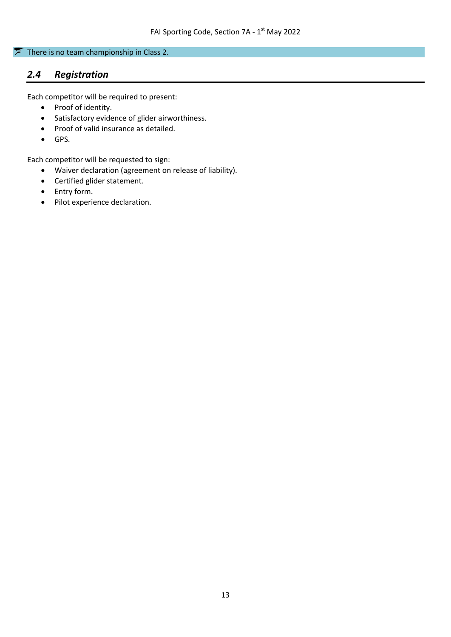#### There is no team championship in Class 2.

## <span id="page-12-0"></span>*2.4 Registration*

Each competitor will be required to present:

- Proof of identity.
- Satisfactory evidence of glider airworthiness.
- Proof of valid insurance as detailed.
- GPS.

Each competitor will be requested to sign:

- Waiver declaration (agreement on release of liability).
- Certified glider statement.
- Entry form.
- Pilot experience declaration.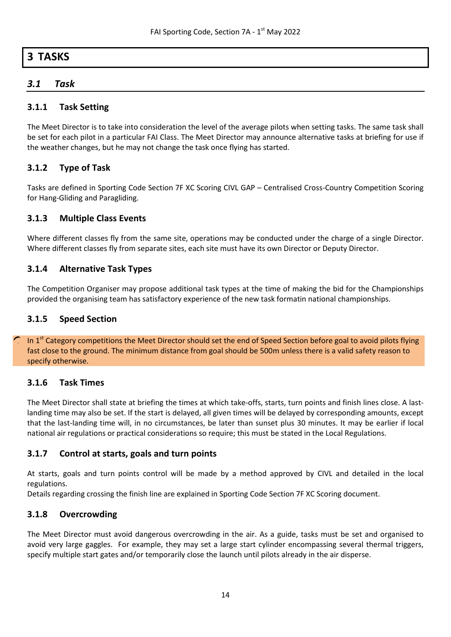## <span id="page-13-0"></span>**3 TASKS**

## <span id="page-13-1"></span>*3.1 Task*

#### <span id="page-13-2"></span>**3.1.1 Task Setting**

The Meet Director is to take into consideration the level of the average pilots when setting tasks. The same task shall be set for each pilot in a particular FAI Class. The Meet Director may announce alternative tasks at briefing for use if the weather changes, but he may not change the task once flying has started.

#### <span id="page-13-3"></span>**3.1.2 Type of Task**

Tasks are defined in Sporting Code Section 7F XC Scoring CIVL GAP – Centralised Cross-Country Competition Scoring for Hang-Gliding and Paragliding.

#### <span id="page-13-4"></span>**3.1.3 Multiple Class Events**

Where different classes fly from the same site, operations may be conducted under the charge of a single Director. Where different classes fly from separate sites, each site must have its own Director or Deputy Director.

#### <span id="page-13-5"></span>**3.1.4 Alternative Task Types**

The Competition Organiser may propose additional task types at the time of making the bid for the Championships provided the organising team has satisfactory experience of the new task formatin national championships.

#### <span id="page-13-6"></span>**3.1.5 Speed Section**

In  $1<sup>st</sup>$  Category competitions the Meet Director should set the end of Speed Section before goal to avoid pilots flying fast close to the ground. The minimum distance from goal should be 500m unless there is a valid safety reason to specify otherwise.

#### <span id="page-13-7"></span>**3.1.6 Task Times**

The Meet Director shall state at briefing the times at which take-offs, starts, turn points and finish lines close. A lastlanding time may also be set. If the start is delayed, all given times will be delayed by corresponding amounts, except that the last-landing time will, in no circumstances, be later than sunset plus 30 minutes. It may be earlier if local national air regulations or practical considerations so require; this must be stated in the Local Regulations.

#### <span id="page-13-8"></span>**3.1.7 Control at starts, goals and turn points**

At starts, goals and turn points control will be made by a method approved by CIVL and detailed in the local regulations.

<span id="page-13-9"></span>Details regarding crossing the finish line are explained in Sporting Code Section 7F XC Scoring document.

#### **3.1.8 Overcrowding**

The Meet Director must avoid dangerous overcrowding in the air. As a guide, tasks must be set and organised to avoid very large gaggles. For example, they may set a large start cylinder encompassing several thermal triggers, specify multiple start gates and/or temporarily close the launch until pilots already in the air disperse.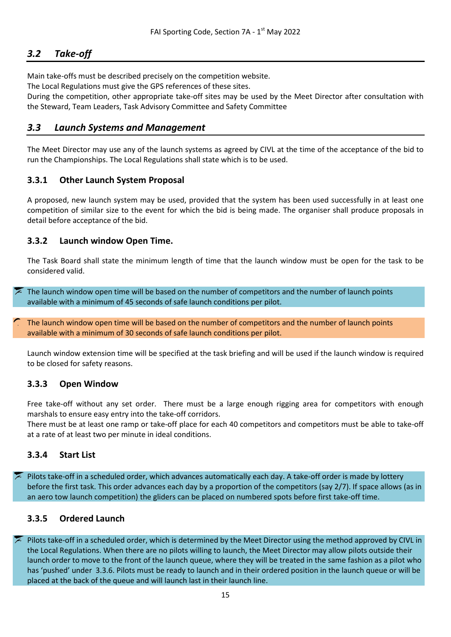## <span id="page-14-0"></span>*3.2 Take-off*

Main take-offs must be described precisely on the competition website.

The Local Regulations must give the GPS references of these sites.

During the competition, other appropriate take-off sites may be used by the Meet Director after consultation with the Steward, Team Leaders, Task Advisory Committee and Safety Committee

#### <span id="page-14-1"></span>*3.3 Launch Systems and Management*

The Meet Director may use any of the launch systems as agreed by CIVL at the time of the acceptance of the bid to run the Championships. The Local Regulations shall state which is to be used.

#### <span id="page-14-2"></span>**3.3.1 Other Launch System Proposal**

A proposed, new launch system may be used, provided that the system has been used successfully in at least one competition of similar size to the event for which the bid is being made. The organiser shall produce proposals in detail before acceptance of the bid.

#### <span id="page-14-3"></span>**3.3.2 Launch window Open Time.**

The Task Board shall state the minimum length of time that the launch window must be open for the task to be considered valid.

The launch window open time will be based on the number of competitors and the number of launch points available with a minimum of 45 seconds of safe launch conditions per pilot.

The launch window open time will be based on the number of competitors and the number of launch points available with a minimum of 30 seconds of safe launch conditions per pilot.

Launch window extension time will be specified at the task briefing and will be used if the launch window is required to be closed for safety reasons.

#### <span id="page-14-4"></span>**3.3.3 Open Window**

Free take-off without any set order. There must be a large enough rigging area for competitors with enough marshals to ensure easy entry into the take-off corridors.

There must be at least one ramp or take-off place for each 40 competitors and competitors must be able to take-off at a rate of at least two per minute in ideal conditions.

#### <span id="page-14-5"></span>**3.3.4 Start List**

Pilots take-off in a scheduled order, which advances automatically each day. A take-off order is made by lottery before the first task. This order advances each day by a proportion of the competitors (say 2/7). If space allows (as in an aero tow launch competition) the gliders can be placed on numbered spots before first take-off time.

#### <span id="page-14-6"></span>**3.3.5 Ordered Launch**

Pilots take-off in a scheduled order, which is determined by the Meet Director using the method approved by CIVL in the Local Regulations. When there are no pilots willing to launch, the Meet Director may allow pilots outside their launch order to move to the front of the launch queue, where they will be treated in the same fashion as a pilot who has 'pushed' under 3.3.6. Pilots must be ready to launch and in their ordered position in the launch queue or will be placed at the back of the queue and will launch last in their launch line.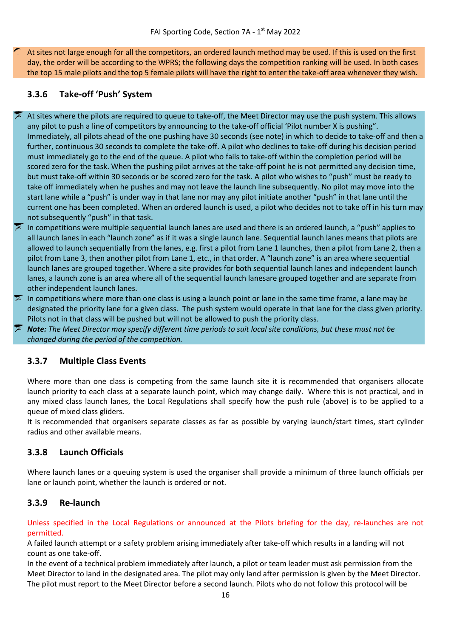At sites not large enough for all the competitors, an ordered launch method may be used. If this is used on the first day, the order will be according to the WPRS; the following days the competition ranking will be used. In both cases the top 15 male pilots and the top 5 female pilots will have the right to enter the take-off area whenever they wish.

## <span id="page-15-0"></span>**3.3.6 Take-off 'Push' System**

- At sites where the pilots are required to queue to take-off, the Meet Director may use the push system. This allows any pilot to push a line of competitors by announcing to the take-off official 'Pilot number X is pushing". Immediately, all pilots ahead of the one pushing have 30 seconds (see note) in which to decide to take-off and then a further, continuous 30 seconds to complete the take-off. A pilot who declines to take-off during his decision period must immediately go to the end of the queue. A pilot who fails to take-off within the completion period will be scored zero for the task. When the pushing pilot arrives at the take-off point he is not permitted any decision time, but must take-off within 30 seconds or be scored zero for the task. A pilot who wishes to "push" must be ready to take off immediately when he pushes and may not leave the launch line subsequently. No pilot may move into the start lane while a "push" is under way in that lane nor may any pilot initiate another "push" in that lane until the current one has been completed. When an ordered launch is used, a pilot who decides not to take off in his turn may not subsequently "push" in that task.
- In competitions were multiple sequential launch lanes are used and there is an ordered launch, a "push" applies to all launch lanes in each "launch zone" as if it was a single launch lane. Sequential launch lanes means that pilots are allowed to launch sequentially from the lanes, e.g. first a pilot from Lane 1 launches, then a pilot from Lane 2, then a pilot from Lane 3, then another pilot from Lane 1, etc., in that order. A "launch zone" is an area where sequential launch lanes are grouped together. Where a site provides for both sequential launch lanes and independent launch lanes, a launch zone is an area where all of the sequential launch lanesare grouped together and are separate from other independent launch lanes.
- In competitions where more than one class is using a launch point or lane in the same time frame, a lane may be designated the priority lane for a given class. The push system would operate in that lane for the class given priority. Pilots not in that class will be pushed but will not be allowed to push the priority class.

*Note: The Meet Director may specify different time periods to suit local site conditions, but these must not be changed during the period of the competition.*

#### <span id="page-15-1"></span>**3.3.7 Multiple Class Events**

Where more than one class is competing from the same launch site it is recommended that organisers allocate launch priority to each class at a separate launch point, which may change daily. Where this is not practical, and in any mixed class launch lanes, the Local Regulations shall specify how the push rule (above) is to be applied to a queue of mixed class gliders.

It is recommended that organisers separate classes as far as possible by varying launch/start times, start cylinder radius and other available means.

#### <span id="page-15-2"></span>**3.3.8 Launch Officials**

Where launch lanes or a queuing system is used the organiser shall provide a minimum of three launch officials per lane or launch point, whether the launch is ordered or not.

#### <span id="page-15-3"></span>**3.3.9 Re-launch**

Unless specified in the Local Regulations or announced at the Pilots briefing for the day, re-launches are not permitted.

A failed launch attempt or a safety problem arising immediately after take-off which results in a landing will not count as one take-off.

In the event of a technical problem immediately after launch, a pilot or team leader must ask permission from the Meet Director to land in the designated area. The pilot may only land after permission is given by the Meet Director. The pilot must report to the Meet Director before a second launch. Pilots who do not follow this protocol will be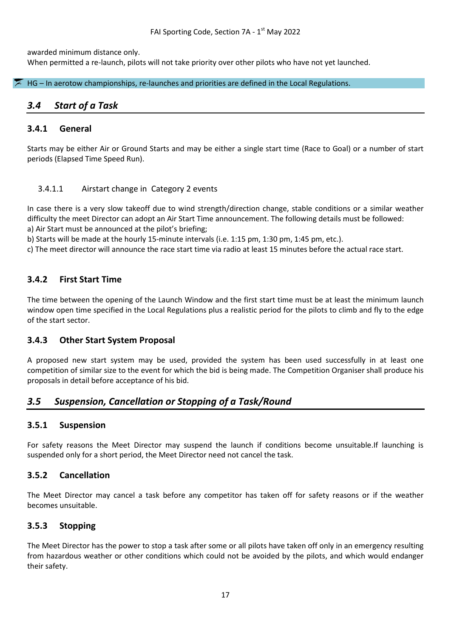awarded minimum distance only. When permitted a re-launch, pilots will not take priority over other pilots who have not yet launched.

#### $\overline{\mathcal{F}}$  HG – In aerotow championships, re-launches and priorities are defined in the Local Regulations.

#### <span id="page-16-0"></span>*3.4 Start of a Task*

#### <span id="page-16-1"></span>**3.4.1 General**

Starts may be either Air or Ground Starts and may be either a single start time (Race to Goal) or a number of start periods (Elapsed Time Speed Run).

#### 3.4.1.1 Airstart change in Category 2 events

In case there is a very slow takeoff due to wind strength/direction change, stable conditions or a similar weather difficulty the meet Director can adopt an Air Start Time announcement. The following details must be followed: a) Air Start must be announced at the pilot's briefing;

b) Starts will be made at the hourly 15-minute intervals (i.e. 1:15 pm, 1:30 pm, 1:45 pm, etc.).

c) The meet director will announce the race start time via radio at least 15 minutes before the actual race start.

#### <span id="page-16-2"></span>**3.4.2 First Start Time**

The time between the opening of the Launch Window and the first start time must be at least the minimum launch window open time specified in the Local Regulations plus a realistic period for the pilots to climb and fly to the edge of the start sector.

#### <span id="page-16-3"></span>**3.4.3 Other Start System Proposal**

A proposed new start system may be used, provided the system has been used successfully in at least one competition of similar size to the event for which the bid is being made. The Competition Organiser shall produce his proposals in detail before acceptance of his bid.

#### <span id="page-16-4"></span>*3.5 Suspension, Cancellation or Stopping of a Task/Round*

#### <span id="page-16-5"></span>**3.5.1 Suspension**

For safety reasons the Meet Director may suspend the launch if conditions become unsuitable.If launching is suspended only for a short period, the Meet Director need not cancel the task.

#### <span id="page-16-6"></span>**3.5.2 Cancellation**

The Meet Director may cancel a task before any competitor has taken off for safety reasons or if the weather becomes unsuitable.

#### <span id="page-16-7"></span>**3.5.3 Stopping**

The Meet Director has the power to stop a task after some or all pilots have taken off only in an emergency resulting from hazardous weather or other conditions which could not be avoided by the pilots, and which would endanger their safety.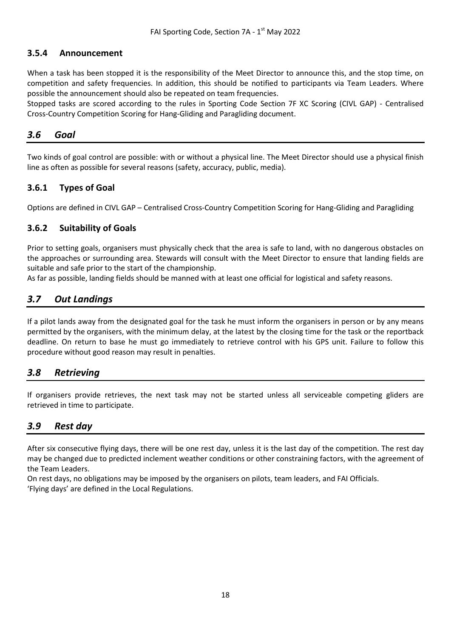#### <span id="page-17-0"></span>**3.5.4 Announcement**

When a task has been stopped it is the responsibility of the Meet Director to announce this, and the stop time, on competition and safety frequencies. In addition, this should be notified to participants via Team Leaders. Where possible the announcement should also be repeated on team frequencies.

Stopped tasks are scored according to the rules in Sporting Code Section 7F XC Scoring (CIVL GAP) - Centralised Cross-Country Competition Scoring for Hang-Gliding and Paragliding document.

#### <span id="page-17-1"></span>*3.6 Goal*

Two kinds of goal control are possible: with or without a physical line. The Meet Director should use a physical finish line as often as possible for several reasons (safety, accuracy, public, media).

#### <span id="page-17-2"></span>**3.6.1 Types of Goal**

<span id="page-17-3"></span>Options are defined in CIVL GAP – Centralised Cross-Country Competition Scoring for Hang-Gliding and Paragliding

#### **3.6.2 Suitability of Goals**

Prior to setting goals, organisers must physically check that the area is safe to land, with no dangerous obstacles on the approaches or surrounding area. Stewards will consult with the Meet Director to ensure that landing fields are suitable and safe prior to the start of the championship.

<span id="page-17-4"></span>As far as possible, landing fields should be manned with at least one official for logistical and safety reasons.

## *3.7 Out Landings*

If a pilot lands away from the designated goal for the task he must inform the organisers in person or by any means permitted by the organisers, with the minimum delay, at the latest by the closing time for the task or the reportback deadline. On return to base he must go immediately to retrieve control with his GPS unit. Failure to follow this procedure without good reason may result in penalties.

#### <span id="page-17-5"></span>*3.8 Retrieving*

If organisers provide retrieves, the next task may not be started unless all serviceable competing gliders are retrieved in time to participate.

#### <span id="page-17-6"></span>*3.9 Rest day*

After six consecutive flying days, there will be one rest day, unless it is the last day of the competition. The rest day may be changed due to predicted inclement weather conditions or other constraining factors, with the agreement of the Team Leaders.

On rest days, no obligations may be imposed by the organisers on pilots, team leaders, and FAI Officials. 'Flying days' are defined in the Local Regulations.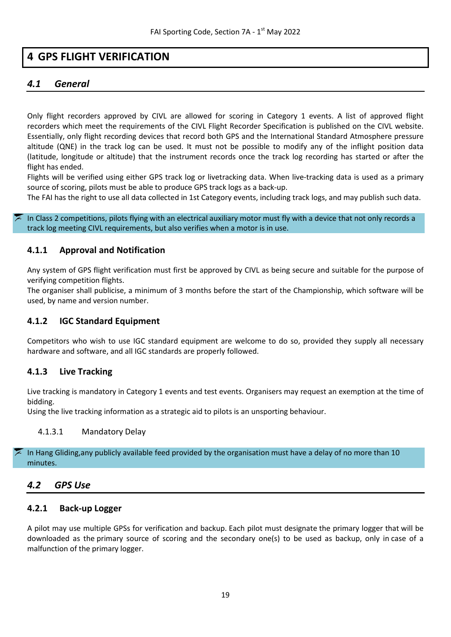## <span id="page-18-0"></span>**4 GPS FLIGHT VERIFICATION**

## <span id="page-18-1"></span>*4.1 General*

Only flight recorders approved by CIVL are allowed for scoring in Category 1 events. A list of approved flight recorders which meet the requirements of the CIVL Flight Recorder Specification is published on the CIVL website. Essentially, only flight recording devices that record both GPS and the International Standard Atmosphere pressure altitude (QNE) in the track log can be used. It must not be possible to modify any of the inflight position data (latitude, longitude or altitude) that the instrument records once the track log recording has started or after the flight has ended.

Flights will be verified using either GPS track log or livetracking data. When live-tracking data is used as a primary source of scoring, pilots must be able to produce GPS track logs as a back-up.

The FAI has the right to use all data collected in 1st Category events, including track logs, and may publish such data.

In Class 2 competitions, pilots flying with an electrical auxiliary motor must fly with a device that not only records a track log meeting CIVL requirements, but also verifies when a motor is in use.

#### <span id="page-18-2"></span>**4.1.1 Approval and Notification**

Any system of GPS flight verification must first be approved by CIVL as being secure and suitable for the purpose of verifying competition flights.

The organiser shall publicise, a minimum of 3 months before the start of the Championship, which software will be used, by name and version number.

#### <span id="page-18-3"></span>**4.1.2 IGC Standard Equipment**

Competitors who wish to use IGC standard equipment are welcome to do so, provided they supply all necessary hardware and software, and all IGC standards are properly followed.

#### <span id="page-18-4"></span>**4.1.3 Live Tracking**

Live tracking is mandatory in Category 1 events and test events. Organisers may request an exemption at the time of bidding.

Using the live tracking information as a strategic aid to pilots is an unsporting behaviour.

#### 4.1.3.1 Mandatory Delay

In Hang Gliding,any publicly available feed provided by the organisation must have a delay of no more than 10 minutes.

#### <span id="page-18-5"></span>*4.2 GPS Use*

#### <span id="page-18-6"></span>**4.2.1 Back-up Logger**

A pilot may use multiple GPSs for verification and backup. Each pilot must designate the primary logger that will be downloaded as the primary source of scoring and the secondary one(s) to be used as backup, only in case of a malfunction of the primary logger.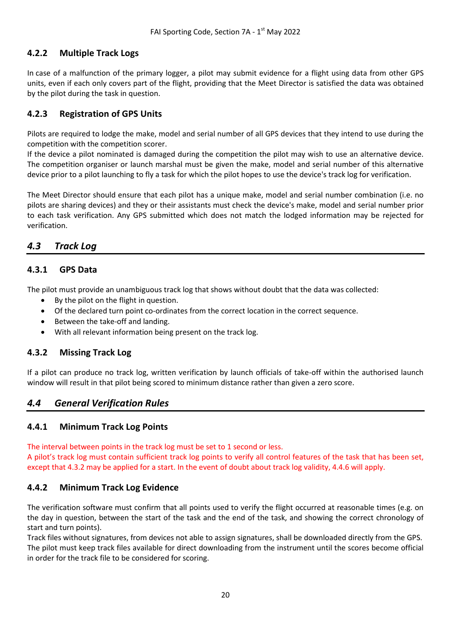#### <span id="page-19-0"></span>**4.2.2 Multiple Track Logs**

In case of a malfunction of the primary logger, a pilot may submit evidence for a flight using data from other GPS units, even if each only covers part of the flight, providing that the Meet Director is satisfied the data was obtained by the pilot during the task in question.

#### <span id="page-19-1"></span>**4.2.3 Registration of GPS Units**

Pilots are required to lodge the make, model and serial number of all GPS devices that they intend to use during the competition with the competition scorer.

If the device a pilot nominated is damaged during the competition the pilot may wish to use an alternative device. The competition organiser or launch marshal must be given the make, model and serial number of this alternative device prior to a pilot launching to fly a task for which the pilot hopes to use the device's track log for verification.

The Meet Director should ensure that each pilot has a unique make, model and serial number combination (i.e. no pilots are sharing devices) and they or their assistants must check the device's make, model and serial number prior to each task verification. Any GPS submitted which does not match the lodged information may be rejected for verification.

#### <span id="page-19-2"></span>*4.3 Track Log*

#### <span id="page-19-3"></span>**4.3.1 GPS Data**

The pilot must provide an unambiguous track log that shows without doubt that the data was collected:

- By the pilot on the flight in question.
- Of the declared turn point co-ordinates from the correct location in the correct sequence.
- Between the take-off and landing.
- With all relevant information being present on the track log.

#### <span id="page-19-4"></span>**4.3.2 Missing Track Log**

If a pilot can produce no track log, written verification by launch officials of take-off within the authorised launch window will result in that pilot being scored to minimum distance rather than given a zero score.

#### <span id="page-19-5"></span>*4.4 General Verification Rules*

#### <span id="page-19-6"></span>**4.4.1 Minimum Track Log Points**

<span id="page-19-7"></span>The interval between points in the track log must be set to 1 second or less.

A pilot's track log must contain sufficient track log points to verify all control features of the task that has been set, except that 4.3.2 may be applied for a start. In the event of doubt about track log validity, 4.4.6 will apply.

#### **4.4.2 Minimum Track Log Evidence**

The verification software must confirm that all points used to verify the flight occurred at reasonable times (e.g. on the day in question, between the start of the task and the end of the task, and showing the correct chronology of start and turn points).

Track files without signatures, from devices not able to assign signatures, shall be downloaded directly from the GPS. The pilot must keep track files available for direct downloading from the instrument until the scores become official in order for the track file to be considered for scoring.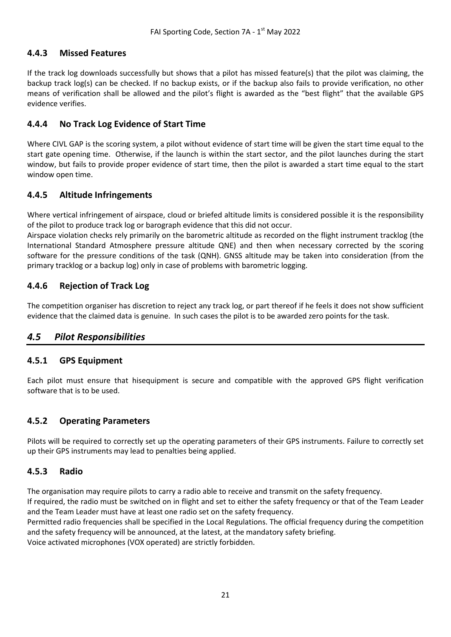#### <span id="page-20-0"></span>**4.4.3 Missed Features**

If the track log downloads successfully but shows that a pilot has missed feature(s) that the pilot was claiming, the backup track log(s) can be checked. If no backup exists, or if the backup also fails to provide verification, no other means of verification shall be allowed and the pilot's flight is awarded as the "best flight" that the available GPS evidence verifies.

#### <span id="page-20-1"></span>**4.4.4 No Track Log Evidence of Start Time**

Where CIVL GAP is the scoring system, a pilot without evidence of start time will be given the start time equal to the start gate opening time. Otherwise, if the launch is within the start sector, and the pilot launches during the start window, but fails to provide proper evidence of start time, then the pilot is awarded a start time equal to the start window open time.

#### <span id="page-20-2"></span>**4.4.5 Altitude Infringements**

Where vertical infringement of airspace, cloud or briefed altitude limits is considered possible it is the responsibility of the pilot to produce track log or barograph evidence that this did not occur.

Airspace violation checks rely primarily on the barometric altitude as recorded on the flight instrument tracklog (the International Standard Atmosphere pressure altitude QNE) and then when necessary corrected by the scoring software for the pressure conditions of the task (QNH). GNSS altitude may be taken into consideration (from the primary tracklog or a backup log) only in case of problems with barometric logging.

#### <span id="page-20-3"></span>**4.4.6 Rejection of Track Log**

The competition organiser has discretion to reject any track log, or part thereof if he feels it does not show sufficient evidence that the claimed data is genuine. In such cases the pilot is to be awarded zero points for the task.

#### <span id="page-20-4"></span>*4.5 Pilot Responsibilities*

#### <span id="page-20-5"></span>**4.5.1 GPS Equipment**

Each pilot must ensure that hisequipment is secure and compatible with the approved GPS flight verification software that is to be used.

#### <span id="page-20-6"></span>**4.5.2 Operating Parameters**

Pilots will be required to correctly set up the operating parameters of their GPS instruments. Failure to correctly set up their GPS instruments may lead to penalties being applied.

#### <span id="page-20-7"></span>**4.5.3 Radio**

The organisation may require pilots to carry a radio able to receive and transmit on the safety frequency.

If required, the radio must be switched on in flight and set to either the safety frequency or that of the Team Leader and the Team Leader must have at least one radio set on the safety frequency.

Permitted radio frequencies shall be specified in the Local Regulations. The official frequency during the competition and the safety frequency will be announced, at the latest, at the mandatory safety briefing.

Voice activated microphones (VOX operated) are strictly forbidden.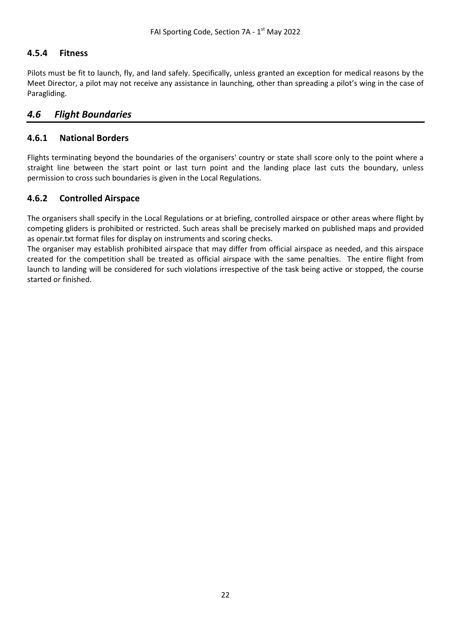#### **4.5.4 Fitness**

Pilots must be fit to launch, fly, and land safely. Specifically, unless granted an exception for medical reasons by the Meet Director, a pilot may not receive any assistance in launching, other than spreading a pilot's wing in the case of Paragliding.

#### <span id="page-21-0"></span>*4.6 Flight Boundaries*

#### <span id="page-21-1"></span>**4.6.1 National Borders**

Flights terminating beyond the boundaries of the organisers' country or state shall score only to the point where a straight line between the start point or last turn point and the landing place last cuts the boundary, unless permission to cross such boundaries is given in the Local Regulations.

#### <span id="page-21-2"></span>**4.6.2 Controlled Airspace**

The organisers shall specify in the Local Regulations or at briefing, controlled airspace or other areas where flight by competing gliders is prohibited or restricted. Such areas shall be precisely marked on published maps and provided as openair.txt format files for display on instruments and scoring checks.

The organiser may establish prohibited airspace that may differ from official airspace as needed, and this airspace created for the competition shall be treated as official airspace with the same penalties. The entire flight from launch to landing will be considered for such violations irrespective of the task being active or stopped, the course started or finished.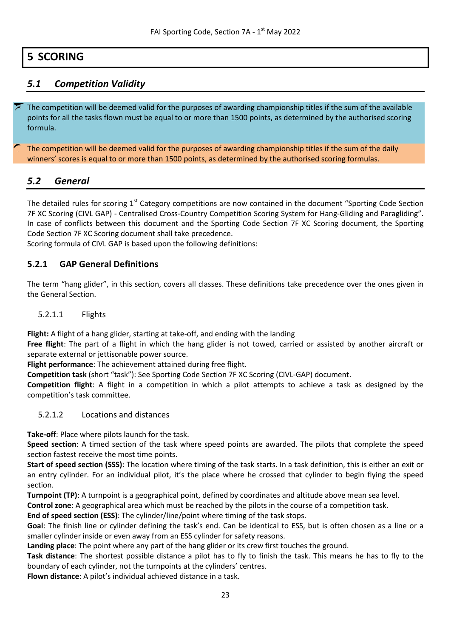## <span id="page-22-0"></span>**5 SCORING**

## <span id="page-22-1"></span>*5.1 Competition Validity*

The competition will be deemed valid for the purposes of awarding championship titles if the sum of the available points for all the tasks flown must be equal to or more than 1500 points, as determined by the authorised scoring formula.

The competition will be deemed valid for the purposes of awarding championship titles if the sum of the daily winners' scores is equal to or more than 1500 points, as determined by the authorised scoring formulas.

#### <span id="page-22-2"></span>*5.2 General*

The detailed rules for scoring  $1<sup>st</sup>$  Category competitions are now contained in the document "Sporting Code Section" 7F XC Scoring (CIVL GAP) - Centralised Cross-Country Competition Scoring System for Hang-Gliding and Paragliding". In case of conflicts between this document and the Sporting Code Section 7F XC Scoring document, the Sporting Code Section 7F XC Scoring document shall take precedence.

<span id="page-22-3"></span>Scoring formula of CIVL GAP is based upon the following definitions:

#### **5.2.1 GAP General Definitions**

The term "hang glider", in this section, covers all classes. These definitions take precedence over the ones given in the General Section.

#### 5.2.1.1 Flights

**Flight:** A flight of a hang glider, starting at take-off, and ending with the landing

**Free flight**: The part of a flight in which the hang glider is not towed, carried or assisted by another aircraft or separate external or jettisonable power source.

**Flight performance**: The achievement attained during free flight.

**Competition task** (short "task"): See Sporting Code Section 7F XC Scoring (CIVL-GAP) document.

**Competition flight**: A flight in a competition in which a pilot attempts to achieve a task as designed by the competition's task committee.

5.2.1.2 Locations and distances

**Take-off**: Place where pilots launch for the task.

**Speed section**: A timed section of the task where speed points are awarded. The pilots that complete the speed section fastest receive the most time points.

**Start of speed section (SSS)**: The location where timing of the task starts. In a task definition, this is either an exit or an entry cylinder. For an individual pilot, it's the place where he crossed that cylinder to begin flying the speed section.

**Turnpoint (TP)**: A turnpoint is a geographical point, defined by coordinates and altitude above mean sea level.

**Control zone**: A geographical area which must be reached by the pilots in the course of a competition task.

**End of speed section (ESS)**: The cylinder/line/point where timing of the task stops.

**Goal**: The finish line or cylinder defining the task's end. Can be identical to ESS, but is often chosen as a line or a smaller cylinder inside or even away from an ESS cylinder for safety reasons.

**Landing place**: The point where any part of the hang glider or its crew first touches the ground.

**Task distance**: The shortest possible distance a pilot has to fly to finish the task. This means he has to fly to the boundary of each cylinder, not the turnpoints at the cylinders' centres.

**Flown distance**: A pilot's individual achieved distance in a task.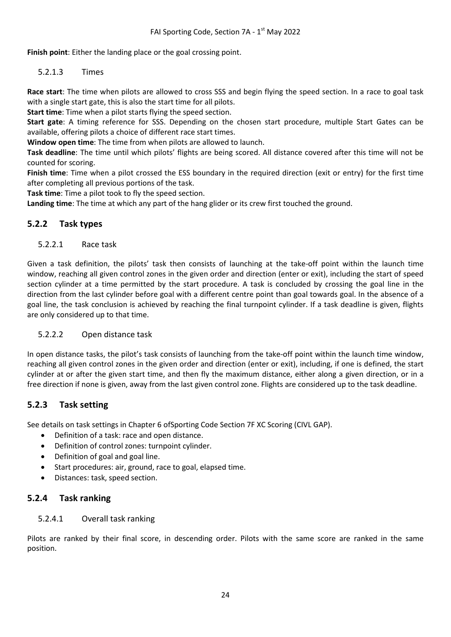**Finish point**: Either the landing place or the goal crossing point.

5.2.1.3 Times

**Race start**: The time when pilots are allowed to cross SSS and begin flying the speed section. In a race to goal task with a single start gate, this is also the start time for all pilots.

**Start time**: Time when a pilot starts flying the speed section.

**Start gate**: A timing reference for SSS. Depending on the chosen start procedure, multiple Start Gates can be available, offering pilots a choice of different race start times.

**Window open time**: The time from when pilots are allowed to launch.

**Task deadline**: The time until which pilots' flights are being scored. All distance covered after this time will not be counted for scoring.

**Finish time**: Time when a pilot crossed the ESS boundary in the required direction (exit or entry) for the first time after completing all previous portions of the task.

**Task time**: Time a pilot took to fly the speed section.

**Landing time**: The time at which any part of the hang glider or its crew first touched the ground.

#### <span id="page-23-0"></span>**5.2.2 Task types**

#### 5.2.2.1 Race task

Given a task definition, the pilots' task then consists of launching at the take-off point within the launch time window, reaching all given control zones in the given order and direction (enter or exit), including the start of speed section cylinder at a time permitted by the start procedure. A task is concluded by crossing the goal line in the direction from the last cylinder before goal with a different centre point than goal towards goal. In the absence of a goal line, the task conclusion is achieved by reaching the final turnpoint cylinder. If a task deadline is given, flights are only considered up to that time.

#### 5.2.2.2 Open distance task

In open distance tasks, the pilot's task consists of launching from the take-off point within the launch time window, reaching all given control zones in the given order and direction (enter or exit), including, if one is defined, the start cylinder at or after the given start time, and then fly the maximum distance, either along a given direction, or in a free direction if none is given, away from the last given control zone. Flights are considered up to the task deadline.

#### <span id="page-23-1"></span>**5.2.3 Task setting**

See details on task settings in Chapter 6 ofSporting Code Section 7F XC Scoring (CIVL GAP).

- Definition of a task: race and open distance.
- Definition of control zones: turnpoint cylinder.
- Definition of goal and goal line.
- Start procedures: air, ground, race to goal, elapsed time.
- Distances: task, speed section.

#### <span id="page-23-2"></span>**5.2.4 Task ranking**

#### 5.2.4.1 Overall task ranking

Pilots are ranked by their final score, in descending order. Pilots with the same score are ranked in the same position.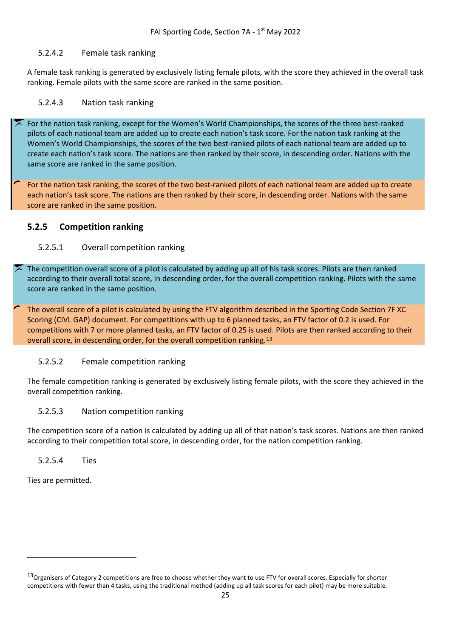#### 5.2.4.2 Female task ranking

A female task ranking is generated by exclusively listing female pilots, with the score they achieved in the overall task ranking. Female pilots with the same score are ranked in the same position.

#### 5.2.4.3 Nation task ranking

For the nation task ranking, except for the Women's World Championships, the scores of the three best-ranked pilots of each national team are added up to create each nation's task score. For the nation task ranking at the Women's World Championships, the scores of the two best-ranked pilots of each national team are added up to create each nation's task score. The nations are then ranked by their score, in descending order. Nations with the same score are ranked in the same position.

For the nation task ranking, the scores of the two best-ranked pilots of each national team are added up to create each nation's task score. The nations are then ranked by their score, in descending order. Nations with the same score are ranked in the same position.

#### <span id="page-24-0"></span>**5.2.5 Competition ranking**

#### 5.2.5.1 Overall competition ranking

The competition overall score of a pilot is calculated by adding up all of his task scores. Pilots are then ranked according to their overall total score, in descending order, for the overall competition ranking. Pilots with the same score are ranked in the same position.

The overall score of a pilot is calculated by using the FTV algorithm described in the Sporting Code Section 7F XC Scoring (CIVL GAP) document. For competitions with up to 6 planned tasks, an FTV factor of 0.2 is used. For competitions with 7 or more planned tasks, an FTV factor of 0.25 is used. Pilots are then ranked according to their overall score, in descending order, for the overall competition ranking.[13](#page-25-9)

#### 5.2.5.2 Female competition ranking

The female competition ranking is generated by exclusively listing female pilots, with the score they achieved in the overall competition ranking.

#### 5.2.5.3 Nation competition ranking

The competition score of a nation is calculated by adding up all of that nation's task scores. Nations are then ranked according to their competition total score, in descending order, for the nation competition ranking.

#### 5.2.5.4 Ties

Ties are permitted.

**.** 

<sup>&</sup>lt;sup>13</sup>Organisers of Category 2 competitions are free to choose whether they want to use FTV for overall scores. Especially for shorter competitions with fewer than 4 tasks, using the traditional method (adding up all task scores for each pilot) may be more suitable.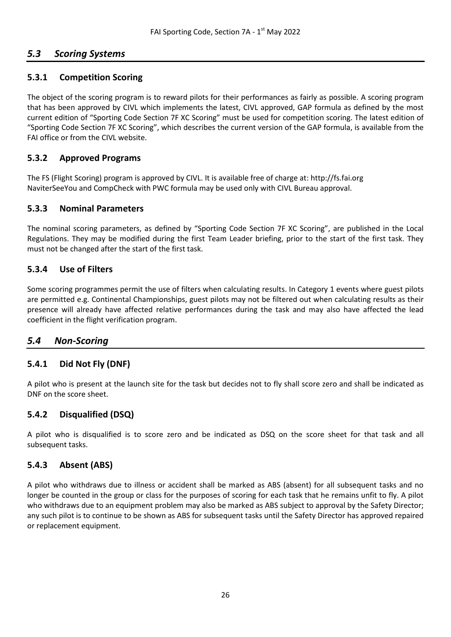## <span id="page-25-0"></span>*5.3 Scoring Systems*

#### <span id="page-25-1"></span>**5.3.1 Competition Scoring**

The object of the scoring program is to reward pilots for their performances as fairly as possible. A scoring program that has been approved by CIVL which implements the latest, CIVL approved, GAP formula as defined by the most current edition of "Sporting Code Section 7F XC Scoring" must be used for competition scoring. The latest edition of "Sporting Code Section 7F XC Scoring", which describes the current version of the GAP formula, is available from the FAI office or from the CIVL website.

#### <span id="page-25-2"></span>**5.3.2 Approved Programs**

The FS (Flight Scoring) program is approved by CIVL. It is available free of charge at: http://fs.fai.org NaviterSeeYou and CompCheck with PWC formula may be used only with CIVL Bureau approval.

#### <span id="page-25-3"></span>**5.3.3 Nominal Parameters**

The nominal scoring parameters, as defined by "Sporting Code Section 7F XC Scoring", are published in the Local Regulations. They may be modified during the first Team Leader briefing, prior to the start of the first task. They must not be changed after the start of the first task.

#### <span id="page-25-4"></span>**5.3.4 Use of Filters**

Some scoring programmes permit the use of filters when calculating results. In Category 1 events where guest pilots are permitted e.g. Continental Championships, guest pilots may not be filtered out when calculating results as their presence will already have affected relative performances during the task and may also have affected the lead coefficient in the flight verification program.

#### <span id="page-25-5"></span>*5.4 Non-Scoring*

#### <span id="page-25-6"></span>**5.4.1 Did Not Fly (DNF)**

A pilot who is present at the launch site for the task but decides not to fly shall score zero and shall be indicated as DNF on the score sheet.

#### <span id="page-25-7"></span>**5.4.2 Disqualified (DSQ)**

A pilot who is disqualified is to score zero and be indicated as DSQ on the score sheet for that task and all subsequent tasks.

#### <span id="page-25-8"></span>**5.4.3 Absent (ABS)**

<span id="page-25-9"></span>A pilot who withdraws due to illness or accident shall be marked as ABS (absent) for all subsequent tasks and no longer be counted in the group or class for the purposes of scoring for each task that he remains unfit to fly. A pilot who withdraws due to an equipment problem may also be marked as ABS subject to approval by the Safety Director; any such pilot is to continue to be shown as ABS for subsequent tasks until the Safety Director has approved repaired or replacement equipment.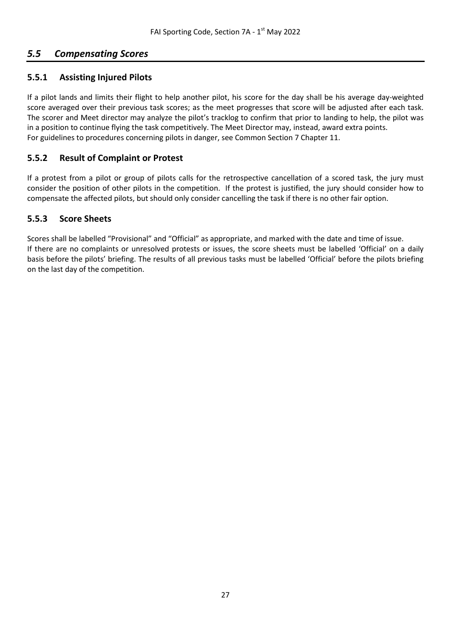## <span id="page-26-0"></span>*5.5 Compensating Scores*

#### <span id="page-26-1"></span>**5.5.1 Assisting Injured Pilots**

If a pilot lands and limits their flight to help another pilot, his score for the day shall be his average day-weighted score averaged over their previous task scores; as the meet progresses that score will be adjusted after each task. The scorer and Meet director may analyze the pilot's tracklog to confirm that prior to landing to help, the pilot was in a position to continue flying the task competitively. The Meet Director may, instead, award extra points. For guidelines to procedures concerning pilots in danger, see Common Section 7 Chapter 11.

#### <span id="page-26-2"></span>**5.5.2 Result of Complaint or Protest**

If a protest from a pilot or group of pilots calls for the retrospective cancellation of a scored task, the jury must consider the position of other pilots in the competition. If the protest is justified, the jury should consider how to compensate the affected pilots, but should only consider cancelling the task if there is no other fair option.

#### <span id="page-26-3"></span>**5.5.3 Score Sheets**

Scores shall be labelled "Provisional" and "Official" as appropriate, and marked with the date and time of issue. If there are no complaints or unresolved protests or issues, the score sheets must be labelled 'Official' on a daily basis before the pilots' briefing. The results of all previous tasks must be labelled 'Official' before the pilots briefing on the last day of the competition.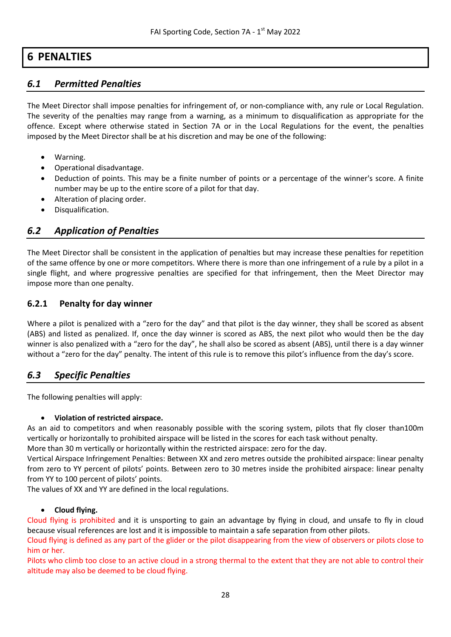## **6 PENALTIES**

### <span id="page-27-1"></span><span id="page-27-0"></span>*6.1 Permitted Penalties*

The Meet Director shall impose penalties for infringement of, or non-compliance with, any rule or Local Regulation. The severity of the penalties may range from a warning, as a minimum to disqualification as appropriate for the offence. Except where otherwise stated in Section 7A or in the Local Regulations for the event, the penalties imposed by the Meet Director shall be at his discretion and may be one of the following:

- Warning.
- Operational disadvantage.
- Deduction of points. This may be a finite number of points or a percentage of the winner's score. A finite number may be up to the entire score of a pilot for that day.
- Alteration of placing order.
- Disqualification.

#### <span id="page-27-2"></span>*6.2 Application of Penalties*

The Meet Director shall be consistent in the application of penalties but may increase these penalties for repetition of the same offence by one or more competitors. Where there is more than one infringement of a rule by a pilot in a single flight, and where progressive penalties are specified for that infringement, then the Meet Director may impose more than one penalty.

#### <span id="page-27-3"></span>**6.2.1 Penalty for day winner**

Where a pilot is penalized with a "zero for the day" and that pilot is the day winner, they shall be scored as absent (ABS) and listed as penalized. If, once the day winner is scored as ABS, the next pilot who would then be the day winner is also penalized with a "zero for the day", he shall also be scored as absent (ABS), until there is a day winner without a "zero for the day" penalty. The intent of this rule is to remove this pilot's influence from the day's score.

#### <span id="page-27-4"></span>*6.3 Specific Penalties*

The following penalties will apply:

#### • **Violation of restricted airspace.**

As an aid to competitors and when reasonably possible with the scoring system, pilots that fly closer than100m vertically or horizontally to prohibited airspace will be listed in the scores for each task without penalty.

More than 30 m vertically or horizontally within the restricted airspace: zero for the day.

Vertical Airspace Infringement Penalties: Between XX and zero metres outside the prohibited airspace: linear penalty from zero to YY percent of pilots' points. Between zero to 30 metres inside the prohibited airspace: linear penalty from YY to 100 percent of pilots' points.

The values of XX and YY are defined in the local regulations.

#### • **Cloud flying.**

Cloud flying is prohibited and it is unsporting to gain an advantage by flying in cloud, and unsafe to fly in cloud because visual references are lost and it is impossible to maintain a safe separation from other pilots.

Cloud flying is defined as any part of the glider or the pilot disappearing from the view of observers or pilots close to him or her.

Pilots who climb too close to an active cloud in a strong thermal to the extent that they are not able to control their altitude may also be deemed to be cloud flying.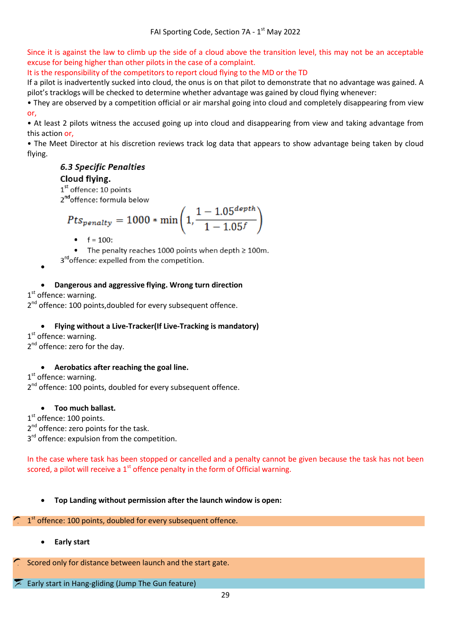Since it is against the law to climb up the side of a cloud above the transition level, this may not be an acceptable excuse for being higher than other pilots in the case of a complaint.

It is the responsibility of the competitors to report cloud flying to the MD or the TD

If a pilot is inadvertently sucked into cloud, the onus is on that pilot to demonstrate that no advantage was gained. A pilot's tracklogs will be checked to determine whether advantage was gained by cloud flying whenever:

• They are observed by a competition official or air marshal going into cloud and completely disappearing from view or,

• At least 2 pilots witness the accused going up into cloud and disappearing from view and taking advantage from this action or,

• The Meet Director at his discretion reviews track log data that appears to show advantage being taken by cloud flying.

## **6.3 Specific Penalties**

#### Cloud flying.

1<sup>st</sup> offence: 10 points

2<sup>nd</sup>offence: formula below

$$
Pts_{penalty} = 1000 * min\left(1, \frac{1 - 1.05^{depth}}{1 - 1.05^f}\right)
$$

 $f = 100$ :

The penalty reaches 1000 points when depth  $\geq 100$ m.

3<sup>rd</sup>offence: expelled from the competition. •

#### • **Dangerous and aggressive flying. Wrong turn direction**

 $1<sup>st</sup>$  offence: warning.

2<sup>nd</sup> offence: 100 points, doubled for every subsequent offence.

#### • **Flying without a Live-Tracker(If Live-Tracking is mandatory)**

 $1<sup>st</sup>$  offence: warning.  $2<sup>nd</sup>$  offence: zero for the day.

#### • **Aerobatics after reaching the goal line.**

 $1<sup>st</sup>$  offence: warning. 2<sup>nd</sup> offence: 100 points, doubled for every subsequent offence.

#### • **Too much ballast.**

 $1<sup>st</sup>$  offence: 100 points. 2<sup>nd</sup> offence: zero points for the task.  $3<sup>rd</sup>$  offence: expulsion from the competition.

In the case where task has been stopped or cancelled and a penalty cannot be given because the task has not been scored, a pilot will receive a  $1<sup>st</sup>$  offence penalty in the form of Official warning.

• **Top Landing without permission after the launch window is open:**

## 1st offence: 100 points, doubled for every subsequent offence.

• **Early start**

Scored only for distance between launch and the start gate.

Early start in Hang-gliding (Jump The Gun feature)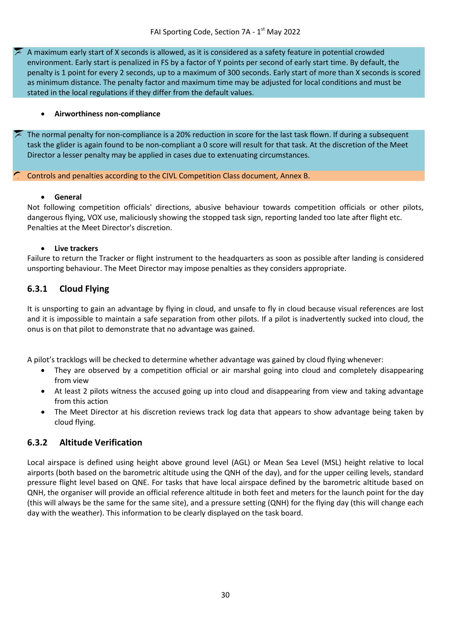A maximum early start of X seconds is allowed, as it is considered as a safety feature in potential crowded environment. Early start is penalized in FS by a factor of Y points per second of early start time. By default, the penalty is 1 point for every 2 seconds, up to a maximum of 300 seconds. Early start of more than X seconds is scored as minimum distance. The penalty factor and maximum time may be adjusted for local conditions and must be stated in the local regulations if they differ from the default values.

#### • **Airworthiness non-compliance**

The normal penalty for non-compliance is a 20% reduction in score for the last task flown. If during a subsequent task the glider is again found to be non-compliant a 0 score will result for that task. At the discretion of the Meet Director a lesser penalty may be applied in cases due to extenuating circumstances.

Controls and penalties according to the CIVL Competition Class document, Annex B.

#### • **General**

Not following competition officials' directions, abusive behaviour towards competition officials or other pilots, dangerous flying, VOX use, maliciously showing the stopped task sign, reporting landed too late after flight etc. Penalties at the Meet Director's discretion.

#### • **Live trackers**

Failure to return the Tracker or flight instrument to the headquarters as soon as possible after landing is considered unsporting behaviour. The Meet Director may impose penalties as they considers appropriate.

#### <span id="page-29-0"></span>**6.3.1 Cloud Flying**

It is unsporting to gain an advantage by flying in cloud, and unsafe to fly in cloud because visual references are lost and it is impossible to maintain a safe separation from other pilots. If a pilot is inadvertently sucked into cloud, the onus is on that pilot to demonstrate that no advantage was gained.

A pilot's tracklogs will be checked to determine whether advantage was gained by cloud flying whenever:

- They are observed by a competition official or air marshal going into cloud and completely disappearing from view
- At least 2 pilots witness the accused going up into cloud and disappearing from view and taking advantage from this action
- The Meet Director at his discretion reviews track log data that appears to show advantage being taken by cloud flying.

#### <span id="page-29-1"></span>**6.3.2 Altitude Verification**

Local airspace is defined using height above ground level (AGL) or Mean Sea Level (MSL) height relative to local airports (both based on the barometric altitude using the QNH of the day), and for the upper ceiling levels, standard pressure flight level based on QNE. For tasks that have local airspace defined by the barometric altitude based on QNH, the organiser will provide an official reference altitude in both feet and meters for the launch point for the day (this will always be the same for the same site), and a pressure setting (QNH) for the flying day (this will change each day with the weather). This information to be clearly displayed on the task board.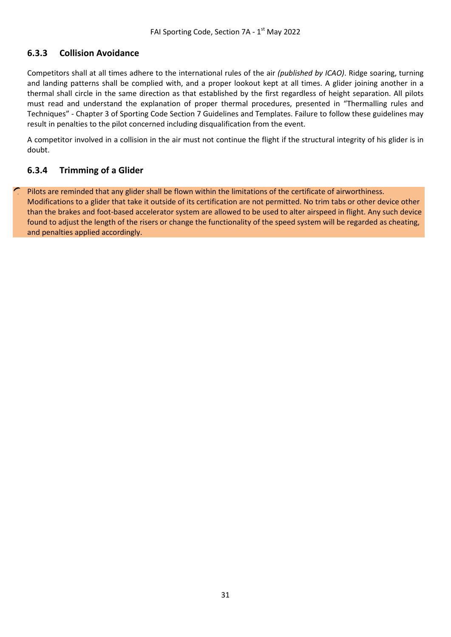## <span id="page-30-0"></span>**6.3.3 Collision Avoidance**

Competitors shall at all times adhere to the international rules of the air *(published by ICAO)*. Ridge soaring, turning and landing patterns shall be complied with, and a proper lookout kept at all times. A glider joining another in a thermal shall circle in the same direction as that established by the first regardless of height separation. All pilots must read and understand the explanation of proper thermal procedures, presented in "Thermalling rules and Techniques" - Chapter 3 of Sporting Code Section 7 Guidelines and Templates. Failure to follow these guidelines may result in penalties to the pilot concerned including disqualification from the event.

A competitor involved in a collision in the air must not continue the flight if the structural integrity of his glider is in doubt.

#### <span id="page-30-1"></span>**6.3.4 Trimming of a Glider**

Pilots are reminded that any glider shall be flown within the limitations of the certificate of airworthiness. Modifications to a glider that take it outside of its certification are not permitted. No trim tabs or other device other than the brakes and foot-based accelerator system are allowed to be used to alter airspeed in flight. Any such device found to adjust the length of the risers or change the functionality of the speed system will be regarded as cheating, and penalties applied accordingly.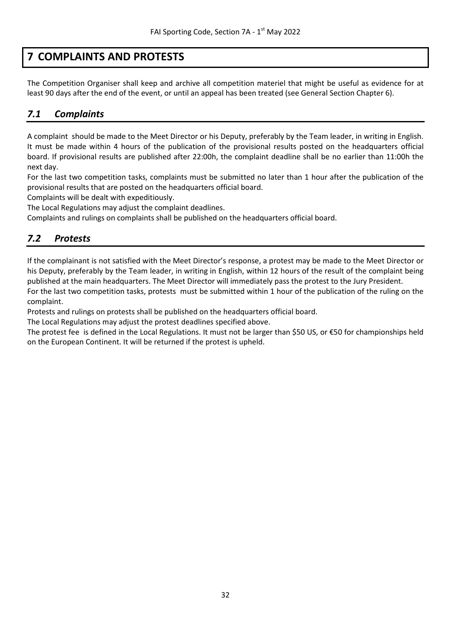## <span id="page-31-0"></span>**7 COMPLAINTS AND PROTESTS**

The Competition Organiser shall keep and archive all competition materiel that might be useful as evidence for at least 90 days after the end of the event, or until an appeal has been treated (see General Section Chapter 6).

## <span id="page-31-1"></span>*7.1 Complaints*

A complaint should be made to the Meet Director or his Deputy, preferably by the Team leader, in writing in English. It must be made within 4 hours of the publication of the provisional results posted on the headquarters official board. If provisional results are published after 22:00h, the complaint deadline shall be no earlier than 11:00h the next day.

For the last two competition tasks, complaints must be submitted no later than 1 hour after the publication of the provisional results that are posted on the headquarters official board.

Complaints will be dealt with expeditiously.

The Local Regulations may adjust the complaint deadlines.

<span id="page-31-2"></span>Complaints and rulings on complaints shall be published on the headquarters official board.

## *7.2 Protests*

If the complainant is not satisfied with the Meet Director's response, a protest may be made to the Meet Director or his Deputy, preferably by the Team leader, in writing in English, within 12 hours of the result of the complaint being published at the main headquarters. The Meet Director will immediately pass the protest to the Jury President.

For the last two competition tasks, protests must be submitted within 1 hour of the publication of the ruling on the complaint.

Protests and rulings on protests shall be published on the headquarters official board.

The Local Regulations may adjust the protest deadlines specified above.

The protest fee is defined in the Local Regulations. It must not be larger than \$50 US, or €50 for championships held on the European Continent. It will be returned if the protest is upheld.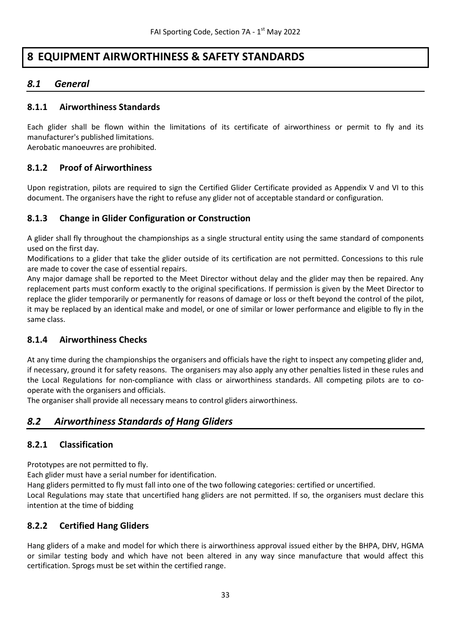## <span id="page-32-0"></span>**8 EQUIPMENT AIRWORTHINESS & SAFETY STANDARDS**

## <span id="page-32-1"></span>*8.1 General*

#### <span id="page-32-2"></span>**8.1.1 Airworthiness Standards**

Each glider shall be flown within the limitations of its certificate of airworthiness or permit to fly and its manufacturer's published limitations.

<span id="page-32-3"></span>Aerobatic manoeuvres are prohibited.

#### **8.1.2 Proof of Airworthiness**

Upon registration, pilots are required to sign the Certified Glider Certificate provided as Appendix V and VI to this document. The organisers have the right to refuse any glider not of acceptable standard or configuration.

#### <span id="page-32-4"></span>**8.1.3 Change in Glider Configuration or Construction**

A glider shall fly throughout the championships as a single structural entity using the same standard of components used on the first day.

Modifications to a glider that take the glider outside of its certification are not permitted. Concessions to this rule are made to cover the case of essential repairs.

Any major damage shall be reported to the Meet Director without delay and the glider may then be repaired. Any replacement parts must conform exactly to the original specifications. If permission is given by the Meet Director to replace the glider temporarily or permanently for reasons of damage or loss or theft beyond the control of the pilot, it may be replaced by an identical make and model, or one of similar or lower performance and eligible to fly in the same class.

#### <span id="page-32-5"></span>**8.1.4 Airworthiness Checks**

At any time during the championships the organisers and officials have the right to inspect any competing glider and, if necessary, ground it for safety reasons. The organisers may also apply any other penalties listed in these rules and the Local Regulations for non-compliance with class or airworthiness standards. All competing pilots are to cooperate with the organisers and officials.

<span id="page-32-6"></span>The organiser shall provide all necessary means to control gliders airworthiness.

#### *8.2 Airworthiness Standards of Hang Gliders*

#### <span id="page-32-7"></span>**8.2.1 Classification**

Prototypes are not permitted to fly.

Each glider must have a serial number for identification.

Hang gliders permitted to fly must fall into one of the two following categories: certified or uncertified.

Local Regulations may state that uncertified hang gliders are not permitted. If so, the organisers must declare this intention at the time of bidding

#### <span id="page-32-8"></span>**8.2.2 Certified Hang Gliders**

Hang gliders of a make and model for which there is airworthiness approval issued either by the BHPA, DHV, HGMA or similar testing body and which have not been altered in any way since manufacture that would affect this certification. Sprogs must be set within the certified range.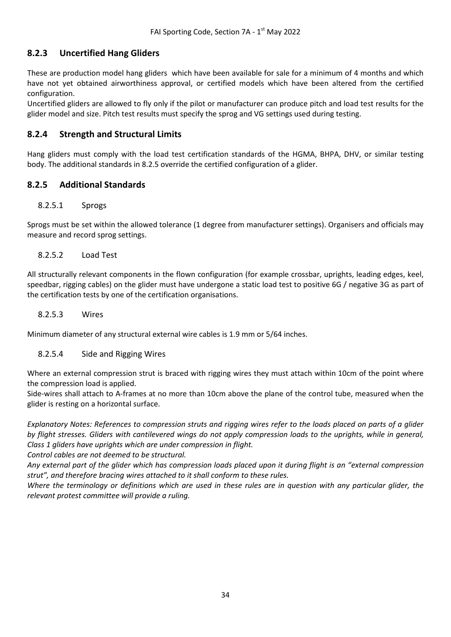## <span id="page-33-0"></span>**8.2.3 Uncertified Hang Gliders**

These are production model hang gliders which have been available for sale for a minimum of 4 months and which have not yet obtained airworthiness approval, or certified models which have been altered from the certified configuration.

Uncertified gliders are allowed to fly only if the pilot or manufacturer can produce pitch and load test results for the glider model and size. Pitch test results must specify the sprog and VG settings used during testing.

#### <span id="page-33-1"></span>**8.2.4 Strength and Structural Limits**

Hang gliders must comply with the load test certification standards of the HGMA, BHPA, DHV, or similar testing body. The additional standards in 8.2.5 override the certified configuration of a glider.

#### <span id="page-33-2"></span>**8.2.5 Additional Standards**

#### 8.2.5.1 Sprogs

Sprogs must be set within the allowed tolerance (1 degree from manufacturer settings). Organisers and officials may measure and record sprog settings.

#### 8.2.5.2 Load Test

All structurally relevant components in the flown configuration (for example crossbar, uprights, leading edges, keel, speedbar, rigging cables) on the glider must have undergone a static load test to positive 6G / negative 3G as part of the certification tests by one of the certification organisations.

#### 8.2.5.3 Wires

Minimum diameter of any structural external wire cables is 1.9 mm or 5/64 inches.

#### 8.2.5.4 Side and Rigging Wires

Where an external compression strut is braced with rigging wires they must attach within 10cm of the point where the compression load is applied.

Side-wires shall attach to A-frames at no more than 10cm above the plane of the control tube, measured when the glider is resting on a horizontal surface.

*Explanatory Notes: References to compression struts and rigging wires refer to the loads placed on parts of a glider by flight stresses. Gliders with cantilevered wings do not apply compression loads to the uprights, while in general, Class 1 gliders have uprights which are under compression in flight.*

*Control cables are not deemed to be structural.*

*Any external part of the glider which has compression loads placed upon it during flight is an "external compression strut", and therefore bracing wires attached to it shall conform to these rules.*

*Where the terminology or definitions which are used in these rules are in question with any particular glider, the relevant protest committee will provide a ruling.*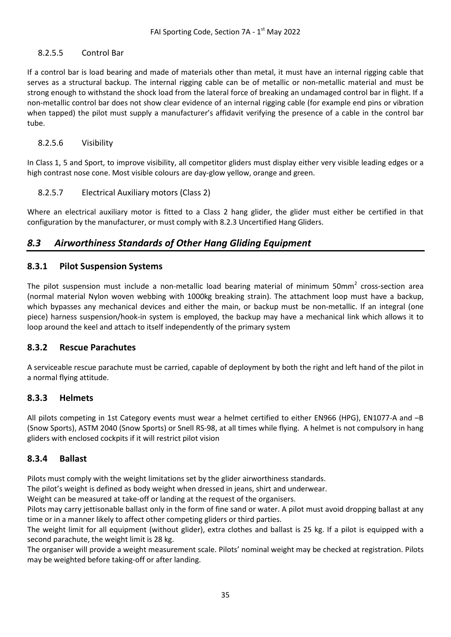#### 8.2.5.5 Control Bar

If a control bar is load bearing and made of materials other than metal, it must have an internal rigging cable that serves as a structural backup. The internal rigging cable can be of metallic or non-metallic material and must be strong enough to withstand the shock load from the lateral force of breaking an undamaged control bar in flight. If a non-metallic control bar does not show clear evidence of an internal rigging cable (for example end pins or vibration when tapped) the pilot must supply a manufacturer's affidavit verifying the presence of a cable in the control bar tube.

#### 8.2.5.6 Visibility

In Class 1, 5 and Sport, to improve visibility, all competitor gliders must display either very visible leading edges or a high contrast nose cone. Most visible colours are day-glow yellow, orange and green.

#### 8.2.5.7 Electrical Auxiliary motors (Class 2)

Where an electrical auxiliary motor is fitted to a Class 2 hang glider, the glider must either be certified in that configuration by the manufacturer, or must comply with 8.2.3 Uncertified Hang Gliders.

## <span id="page-34-0"></span>*8.3 Airworthiness Standards of Other Hang Gliding Equipment*

#### <span id="page-34-1"></span>**8.3.1 Pilot Suspension Systems**

The pilot suspension must include a non-metallic load bearing material of minimum 50mm<sup>2</sup> cross-section area (normal material Nylon woven webbing with 1000kg breaking strain). The attachment loop must have a backup, which bypasses any mechanical devices and either the main, or backup must be non-metallic. If an integral (one piece) harness suspension/hook-in system is employed, the backup may have a mechanical link which allows it to loop around the keel and attach to itself independently of the primary system

#### <span id="page-34-2"></span>**8.3.2 Rescue Parachutes**

A serviceable rescue parachute must be carried, capable of deployment by both the right and left hand of the pilot in a normal flying attitude.

#### <span id="page-34-3"></span>**8.3.3 Helmets**

All pilots competing in 1st Category events must wear a helmet certified to either EN966 (HPG), EN1077-A and –B (Snow Sports), ASTM 2040 (Snow Sports) or Snell RS-98, at all times while flying. A helmet is not compulsory in hang gliders with enclosed cockpits if it will restrict pilot vision

#### <span id="page-34-4"></span>**8.3.4 Ballast**

Pilots must comply with the weight limitations set by the glider airworthiness standards.

The pilot's weight is defined as body weight when dressed in jeans, shirt and underwear.

Weight can be measured at take-off or landing at the request of the organisers.

Pilots may carry jettisonable ballast only in the form of fine sand or water. A pilot must avoid dropping ballast at any time or in a manner likely to affect other competing gliders or third parties.

The weight limit for all equipment (without glider), extra clothes and ballast is 25 kg. If a pilot is equipped with a second parachute, the weight limit is 28 kg.

The organiser will provide a weight measurement scale. Pilots' nominal weight may be checked at registration. Pilots may be weighted before taking-off or after landing.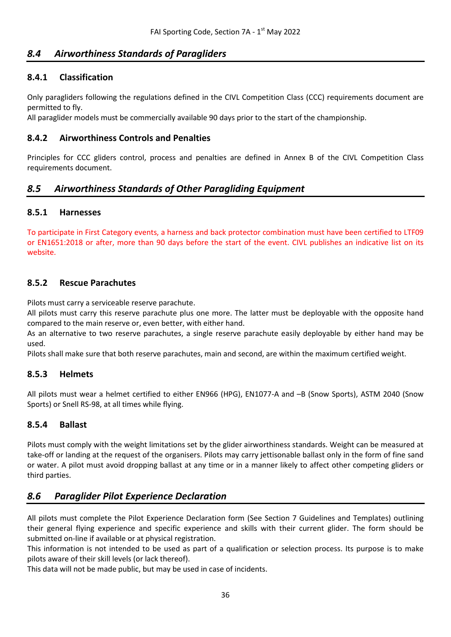## <span id="page-35-0"></span>*8.4 Airworthiness Standards of Paragliders*

#### <span id="page-35-1"></span>**8.4.1 Classification**

Only paragliders following the regulations defined in the CIVL Competition Class (CCC) requirements document are permitted to fly.

<span id="page-35-2"></span>All paraglider models must be commercially available 90 days prior to the start of the championship.

#### **8.4.2 Airworthiness Controls and Penalties**

Principles for CCC gliders control, process and penalties are defined in Annex B of the CIVL Competition Class requirements document.

## <span id="page-35-3"></span>*8.5 Airworthiness Standards of Other Paragliding Equipment*

#### <span id="page-35-4"></span>**8.5.1 Harnesses**

To participate in First Category events, a harness and back protector combination must have been certified to LTF09 or EN1651:2018 or after, more than 90 days before the start of the event. CIVL publishes an indicative list on its website.

#### <span id="page-35-5"></span>**8.5.2 Rescue Parachutes**

Pilots must carry a serviceable reserve parachute.

All pilots must carry this reserve parachute plus one more. The latter must be deployable with the opposite hand compared to the main reserve or, even better, with either hand.

As an alternative to two reserve parachutes, a single reserve parachute easily deployable by either hand may be used.

<span id="page-35-6"></span>Pilots shall make sure that both reserve parachutes, main and second, are within the maximum certified weight.

#### **8.5.3 Helmets**

All pilots must wear a helmet certified to either EN966 (HPG), EN1077-A and –B (Snow Sports), ASTM 2040 (Snow Sports) or Snell RS-98, at all times while flying.

#### <span id="page-35-7"></span>**8.5.4 Ballast**

Pilots must comply with the weight limitations set by the glider airworthiness standards. Weight can be measured at take-off or landing at the request of the organisers. Pilots may carry jettisonable ballast only in the form of fine sand or water. A pilot must avoid dropping ballast at any time or in a manner likely to affect other competing gliders or third parties.

#### <span id="page-35-8"></span>*8.6 Paraglider Pilot Experience Declaration*

All pilots must complete the Pilot Experience Declaration form (See Section 7 Guidelines and Templates) outlining their general flying experience and specific experience and skills with their current glider. The form should be submitted on-line if available or at physical registration.

This information is not intended to be used as part of a qualification or selection process. Its purpose is to make pilots aware of their skill levels (or lack thereof).

This data will not be made public, but may be used in case of incidents.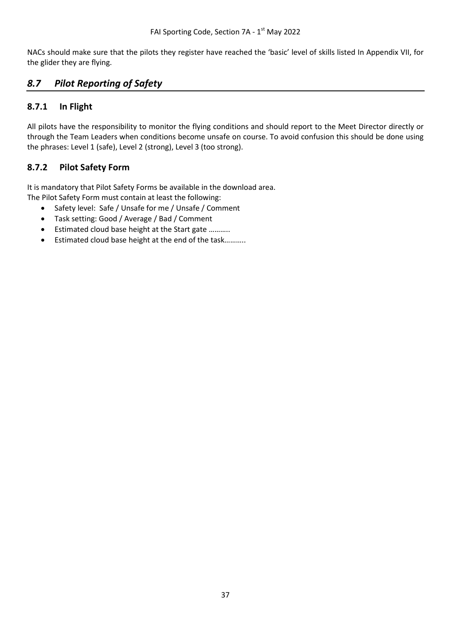NACs should make sure that the pilots they register have reached the 'basic' level of skills listed In Appendix VII, for the glider they are flying.

## <span id="page-36-0"></span>*8.7 Pilot Reporting of Safety*

## <span id="page-36-1"></span>**8.7.1 In Flight**

All pilots have the responsibility to monitor the flying conditions and should report to the Meet Director directly or through the Team Leaders when conditions become unsafe on course. To avoid confusion this should be done using the phrases: Level 1 (safe), Level 2 (strong), Level 3 (too strong).

## <span id="page-36-2"></span>**8.7.2 Pilot Safety Form**

It is mandatory that Pilot Safety Forms be available in the download area. The Pilot Safety Form must contain at least the following:

- Safety level: Safe / Unsafe for me / Unsafe / Comment
- Task setting: Good / Average / Bad / Comment
- Estimated cloud base height at the Start gate ………..
- Estimated cloud base height at the end of the task………..